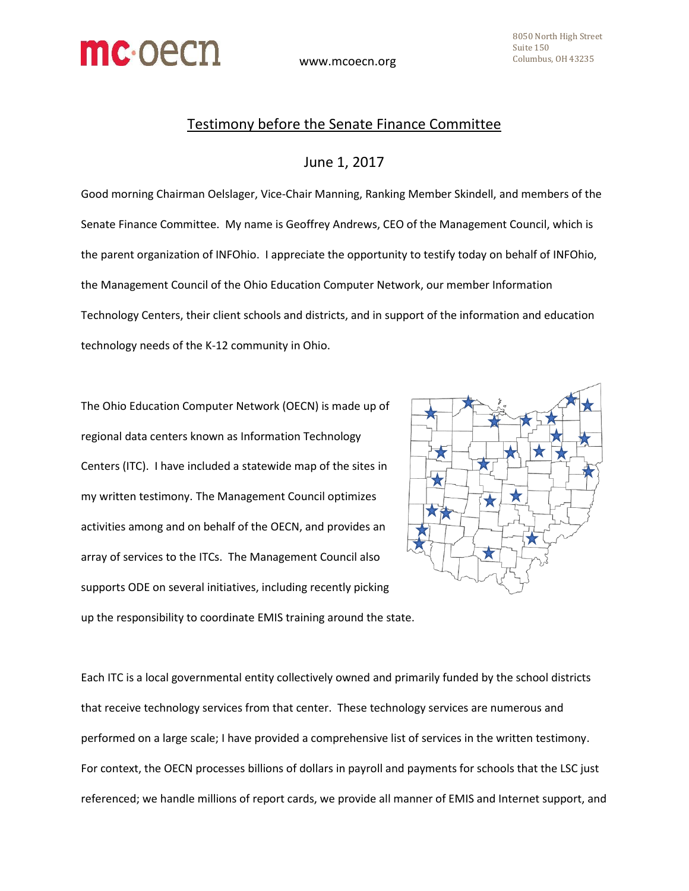

## Testimony before the Senate Finance Committee

## June 1, 2017

Good morning Chairman Oelslager, Vice-Chair Manning, Ranking Member Skindell, and members of the Senate Finance Committee. My name is Geoffrey Andrews, CEO of the Management Council, which is the parent organization of INFOhio. I appreciate the opportunity to testify today on behalf of INFOhio, the Management Council of the Ohio Education Computer Network, our member Information Technology Centers, their client schools and districts, and in support of the information and education technology needs of the K-12 community in Ohio.

The Ohio Education Computer Network (OECN) is made up of regional data centers known as Information Technology Centers (ITC). I have included a statewide map of the sites in my written testimony. The Management Council optimizes activities among and on behalf of the OECN, and provides an array of services to the ITCs. The Management Council also supports ODE on several initiatives, including recently picking



up the responsibility to coordinate EMIS training around the state.

Each ITC is a local governmental entity collectively owned and primarily funded by the school districts that receive technology services from that center. These technology services are numerous and performed on a large scale; I have provided a comprehensive list of services in the written testimony. For context, the OECN processes billions of dollars in payroll and payments for schools that the LSC just referenced; we handle millions of report cards, we provide all manner of EMIS and Internet support, and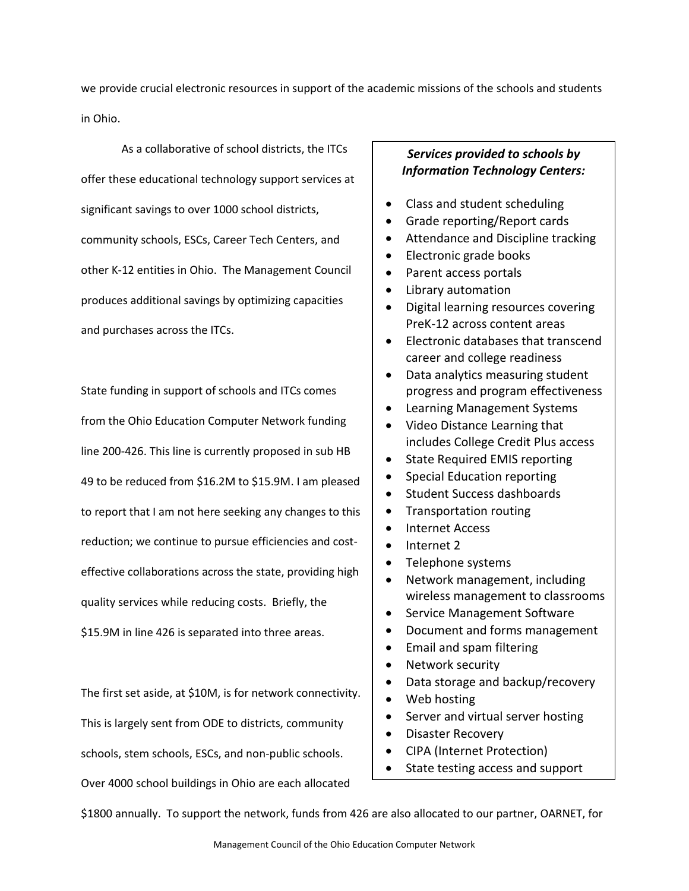we provide crucial electronic resources in support of the academic missions of the schools and students in Ohio.

As a collaborative of school districts, the ITCs offer these educational technology support services at significant savings to over 1000 school districts, community schools, ESCs, Career Tech Centers, and other K-12 entities in Ohio. The Management Council produces additional savings by optimizing capacities and purchases across the ITCs.

State funding in support of schools and ITCs comes from the Ohio Education Computer Network funding line 200-426. This line is currently proposed in sub HB 49 to be reduced from \$16.2M to \$15.9M. I am pleased to report that I am not here seeking any changes to this reduction; we continue to pursue efficiencies and costeffective collaborations across the state, providing high quality services while reducing costs. Briefly, the \$15.9M in line 426 is separated into three areas.

The first set aside, at \$10M, is for network connectivity. This is largely sent from ODE to districts, community schools, stem schools, ESCs, and non-public schools. Over 4000 school buildings in Ohio are each allocated

## *Services provided to schools by Information Technology Centers:*

- Class and student scheduling
- Grade reporting/Report cards
- Attendance and Discipline tracking
- Electronic grade books
- Parent access portals
- Library automation
- Digital learning resources covering PreK-12 across content areas
- Electronic databases that transcend career and college readiness
- Data analytics measuring student progress and program effectiveness
- Learning Management Systems
- Video Distance Learning that includes College Credit Plus access
- State Required EMIS reporting
- Special Education reporting
- Student Success dashboards
- Transportation routing
- Internet Access
- Internet 2
- Telephone systems
- Network management, including wireless management to classrooms
- Service Management Software
- Document and forms management
- Email and spam filtering
- Network security
- Data storage and backup/recovery
- Web hosting
- Server and virtual server hosting
- Disaster Recovery
- CIPA (Internet Protection)
- State testing access and support

\$1800 annually. To support the network, funds from 426 are also allocated to our partner, OARNET, for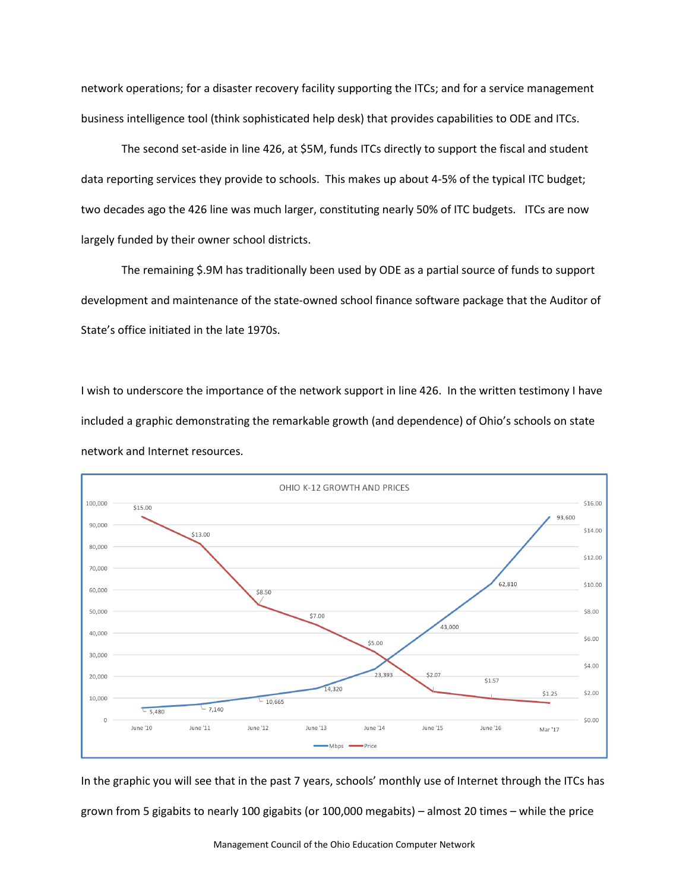network operations; for a disaster recovery facility supporting the ITCs; and for a service management business intelligence tool (think sophisticated help desk) that provides capabilities to ODE and ITCs.

The second set-aside in line 426, at \$5M, funds ITCs directly to support the fiscal and student data reporting services they provide to schools. This makes up about 4-5% of the typical ITC budget; two decades ago the 426 line was much larger, constituting nearly 50% of ITC budgets. ITCs are now largely funded by their owner school districts.

The remaining \$.9M has traditionally been used by ODE as a partial source of funds to support development and maintenance of the state-owned school finance software package that the Auditor of State's office initiated in the late 1970s.

I wish to underscore the importance of the network support in line 426. In the written testimony I have included a graphic demonstrating the remarkable growth (and dependence) of Ohio's schools on state network and Internet resources.



In the graphic you will see that in the past 7 years, schools' monthly use of Internet through the ITCs has grown from 5 gigabits to nearly 100 gigabits (or 100,000 megabits) – almost 20 times – while the price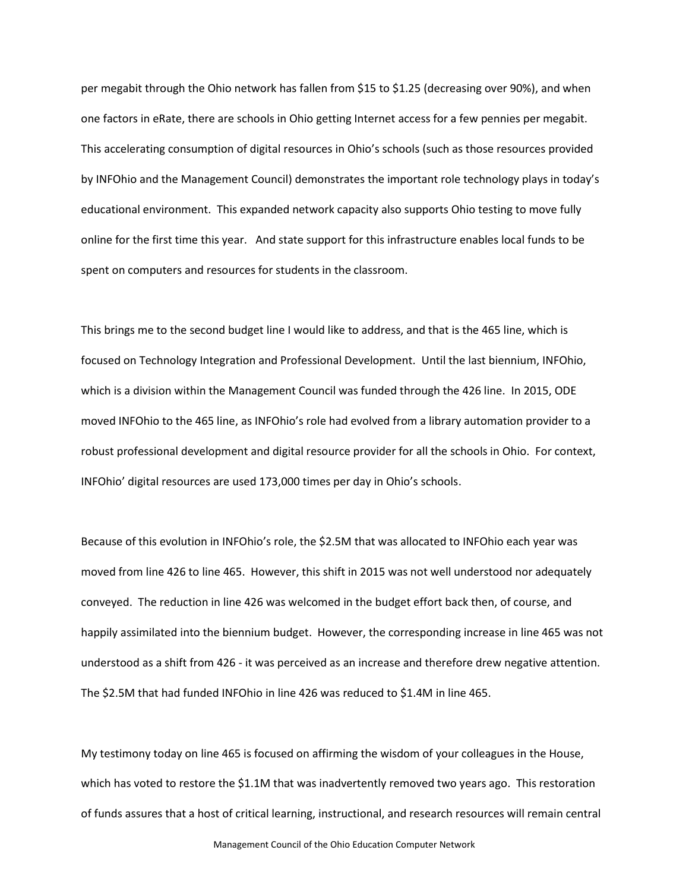per megabit through the Ohio network has fallen from \$15 to \$1.25 (decreasing over 90%), and when one factors in eRate, there are schools in Ohio getting Internet access for a few pennies per megabit. This accelerating consumption of digital resources in Ohio's schools (such as those resources provided by INFOhio and the Management Council) demonstrates the important role technology plays in today's educational environment. This expanded network capacity also supports Ohio testing to move fully online for the first time this year. And state support for this infrastructure enables local funds to be spent on computers and resources for students in the classroom.

This brings me to the second budget line I would like to address, and that is the 465 line, which is focused on Technology Integration and Professional Development. Until the last biennium, INFOhio, which is a division within the Management Council was funded through the 426 line. In 2015, ODE moved INFOhio to the 465 line, as INFOhio's role had evolved from a library automation provider to a robust professional development and digital resource provider for all the schools in Ohio. For context, INFOhio' digital resources are used 173,000 times per day in Ohio's schools.

Because of this evolution in INFOhio's role, the \$2.5M that was allocated to INFOhio each year was moved from line 426 to line 465. However, this shift in 2015 was not well understood nor adequately conveyed. The reduction in line 426 was welcomed in the budget effort back then, of course, and happily assimilated into the biennium budget. However, the corresponding increase in line 465 was not understood as a shift from 426 - it was perceived as an increase and therefore drew negative attention. The \$2.5M that had funded INFOhio in line 426 was reduced to \$1.4M in line 465.

My testimony today on line 465 is focused on affirming the wisdom of your colleagues in the House, which has voted to restore the \$1.1M that was inadvertently removed two years ago. This restoration of funds assures that a host of critical learning, instructional, and research resources will remain central